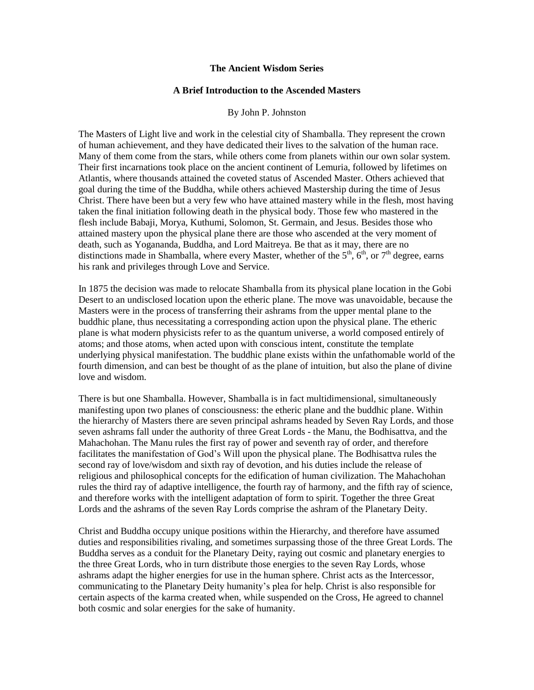## **The Ancient Wisdom Series**

## **A Brief Introduction to the Ascended Masters**

## By John P. Johnston

The Masters of Light live and work in the celestial city of Shamballa. They represent the crown of human achievement, and they have dedicated their lives to the salvation of the human race. Many of them come from the stars, while others come from planets within our own solar system. Their first incarnations took place on the ancient continent of Lemuria, followed by lifetimes on Atlantis, where thousands attained the coveted status of Ascended Master. Others achieved that goal during the time of the Buddha, while others achieved Mastership during the time of Jesus Christ. There have been but a very few who have attained mastery while in the flesh, most having taken the final initiation following death in the physical body. Those few who mastered in the flesh include Babaji, Morya, Kuthumi, Solomon, St. Germain, and Jesus. Besides those who attained mastery upon the physical plane there are those who ascended at the very moment of death, such as Yogananda, Buddha, and Lord Maitreya. Be that as it may, there are no distinctions made in Shamballa, where every Master, whether of the  $5<sup>th</sup>$ ,  $6<sup>th</sup>$ , or  $7<sup>th</sup>$  degree, earns his rank and privileges through Love and Service.

In 1875 the decision was made to relocate Shamballa from its physical plane location in the Gobi Desert to an undisclosed location upon the etheric plane. The move was unavoidable, because the Masters were in the process of transferring their ashrams from the upper mental plane to the buddhic plane, thus necessitating a corresponding action upon the physical plane. The etheric plane is what modern physicists refer to as the quantum universe, a world composed entirely of atoms; and those atoms, when acted upon with conscious intent, constitute the template underlying physical manifestation. The buddhic plane exists within the unfathomable world of the fourth dimension, and can best be thought of as the plane of intuition, but also the plane of divine love and wisdom.

There is but one Shamballa. However, Shamballa is in fact multidimensional, simultaneously manifesting upon two planes of consciousness: the etheric plane and the buddhic plane. Within the hierarchy of Masters there are seven principal ashrams headed by Seven Ray Lords, and those seven ashrams fall under the authority of three Great Lords - the Manu, the Bodhisattva, and the Mahachohan. The Manu rules the first ray of power and seventh ray of order, and therefore facilitates the manifestation of God's Will upon the physical plane. The Bodhisattva rules the second ray of love/wisdom and sixth ray of devotion, and his duties include the release of religious and philosophical concepts for the edification of human civilization. The Mahachohan rules the third ray of adaptive intelligence, the fourth ray of harmony, and the fifth ray of science, and therefore works with the intelligent adaptation of form to spirit. Together the three Great Lords and the ashrams of the seven Ray Lords comprise the ashram of the Planetary Deity.

Christ and Buddha occupy unique positions within the Hierarchy, and therefore have assumed duties and responsibilities rivaling, and sometimes surpassing those of the three Great Lords. The Buddha serves as a conduit for the Planetary Deity, raying out cosmic and planetary energies to the three Great Lords, who in turn distribute those energies to the seven Ray Lords, whose ashrams adapt the higher energies for use in the human sphere. Christ acts as the Intercessor, communicating to the Planetary Deity humanity's plea for help. Christ is also responsible for certain aspects of the karma created when, while suspended on the Cross, He agreed to channel both cosmic and solar energies for the sake of humanity.